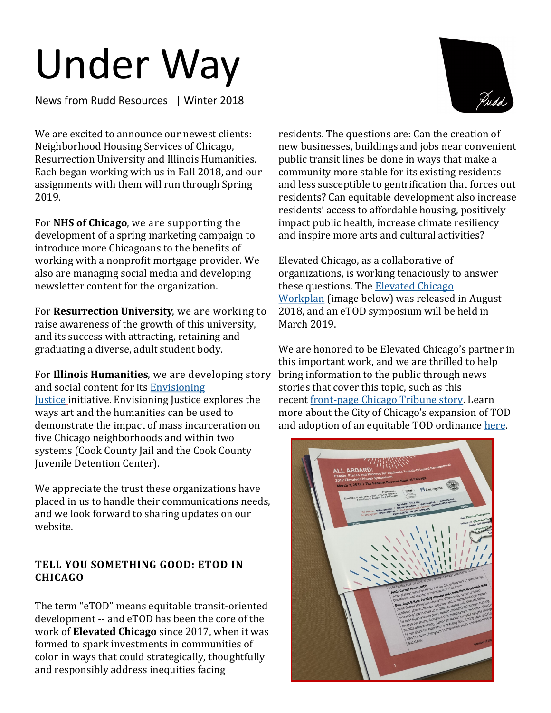# Under Way

News from Rudd Resources | Winter 2018

We are excited to announce our newest clients: Neighborhood Housing Services of Chicago, Resurrection University and Illinois Humanities. Each began working with us in Fall 2018, and our assignments with them will run through Spring 2019.

For **NHS of Chicago**, we are supporting the development of a spring marketing campaign to introduce more Chicagoans to the benefits of working with a nonprofit mortgage provider. We also are managing social media and developing newsletter content for the organization.

For **Resurrection University**, we are working to raise awareness of the growth of this university, and its success with attracting, retaining and graduating a diverse, adult student body.

For **Illinois Humanities**, we are developing story and social content for its [Envisioning](http://bit.ly/2s93ODu)  [Justice](http://bit.ly/2s93ODu) initiative. Envisioning Justice explores the ways art and the humanities can be used to demonstrate the impact of mass incarceration on five Chicago neighborhoods and within two systems (Cook County Jail and the Cook County Juvenile Detention Center).

We appreciate the trust these organizations have placed in us to handle their communications needs, and we look forward to sharing updates on our website.

#### **TELL YOU SOMETHING GOOD: ETOD IN CHICAGO**

The term "eTOD" means equitable transit-oriented development -- and eTOD has been the core of the work of **Elevated Chicago** since 2017, when it was formed to spark investments in communities of color in ways that could strategically, thoughtfully and responsibly address inequities facing

residents. The questions are: Can the creation of new businesses, buildings and jobs near convenient public transit lines be done in ways that make a community more stable for its existing residents and less susceptible to gentrification that forces out residents? Can equitable development also increase residents' access to affordable housing, positively impact public health, increase climate resiliency and inspire more arts and cultural activities?

Elevated Chicago, as a collaborative of organizations, is working tenaciously to answer these questions. The Elevated Chicago [Workplan](http://bit.ly/ElevatedChi_WES) (image below) was released in August 2018, and an eTOD symposium will be held in March 2019.

We are honored to be Elevated Chicago's partner in this important work, and we are thrilled to help bring information to the public through news stories that cover this topic, such as this recent front-[page Chicago Tribune story.](https://trib.in/2AsFhhl) Learn more about the City of Chicago's expansion of TOD and adoption of an equitable TOD ordinance [here.](https://chi.streetsblog.org/2018/12/17/a-vision-for-expanded-and-equitable-tod/)